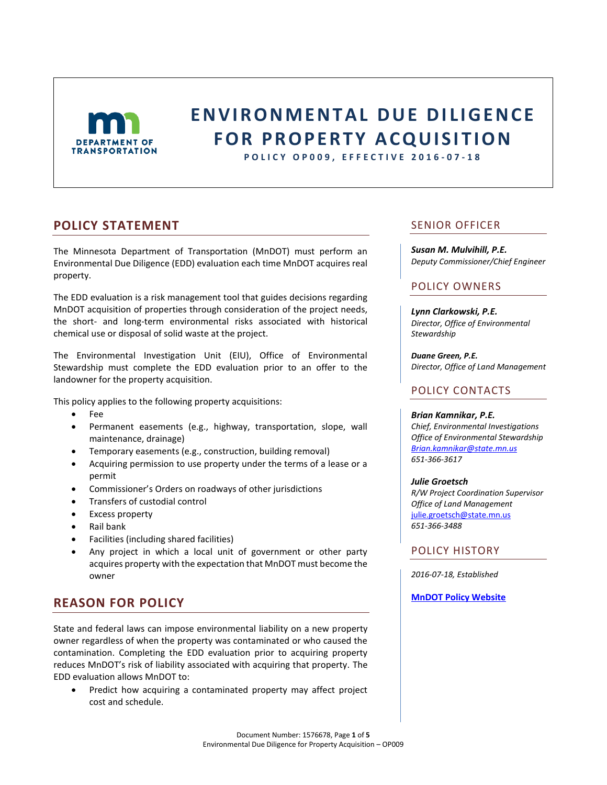

# **E N V I R O N M E N T A L D U E D I L I G E N C E FOR PROPERTY ACQUISITION**

**P O L I C Y OP009 , E F F E C T I V E 2016 - 0 7 - 1 8**

# **POLICY STATEMENT**

The Minnesota Department of Transportation (MnDOT) must perform an Environmental Due Diligence (EDD) evaluation each time MnDOT acquires real property.

The EDD evaluation is a risk management tool that guides decisions regarding MnDOT acquisition of properties through consideration of the project needs, the short- and long-term environmental risks associated with historical chemical use or disposal of solid waste at the project.

The Environmental Investigation Unit (EIU), Office of Environmental Stewardship must complete the EDD evaluation prior to an offer to the landowner for the property acquisition.

This policy applies to the following property acquisitions:

- Fee
- Permanent easements (e.g., highway, transportation, slope, wall maintenance, drainage)
- Temporary easements (e.g., construction, building removal)
- Acquiring permission to use property under the terms of a lease or a permit
- Commissioner's Orders on roadways of other jurisdictions
- Transfers of custodial control
- Excess property
- Rail bank
- Facilities (including shared facilities)
- Any project in which a local unit of government or other party acquires property with the expectation that MnDOT must become the owner

# **REASON FOR POLICY**

State and federal laws can impose environmental liability on a new property owner regardless of when the property was contaminated or who caused the contamination. Completing the EDD evaluation prior to acquiring property reduces MnDOT's risk of liability associated with acquiring that property. The EDD evaluation allows MnDOT to:

 Predict how acquiring a contaminated property may affect project cost and schedule.

### SENIOR OFFICER

*Susan M. Mulvihill, P.E. Deputy Commissioner/Chief Engineer*

### POLICY OWNERS

*Lynn Clarkowski, P.E. Director, Office of Environmental Stewardship*

*Duane Green, P.E. Director, Office of Land Management*

### POLICY CONTACTS

### *Brian Kamnikar, P.E.*

*Chief, Environmental Investigations Office of Environmental Stewardship [Brian.kamnikar@state.mn.us](mailto:Brian.kamnikar@state.mn.us) 651-366-3617*

### *Julie Groetsch*

*R/W Project Coordination Supervisor Office of Land Management* [julie.groetsch@state.mn.us](mailto:Julie.groetsch@state.mn.us) *651-366-3488*

### POLICY HISTORY

*2016-07-18, Established*

### **[MnDOT Policy Website](http://www.dot.state.mn.us/policy/index.html)**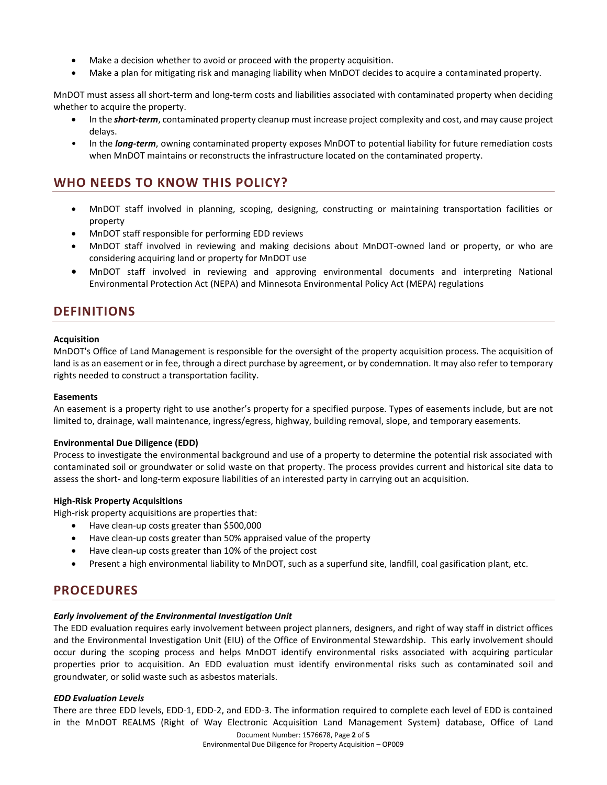- Make a decision whether to avoid or proceed with the property acquisition.
- Make a plan for mitigating risk and managing liability when MnDOT decides to acquire a contaminated property.

MnDOT must assess all short-term and long-term costs and liabilities associated with contaminated property when deciding whether to acquire the property.

- In the *short-term*, contaminated property cleanup must increase project complexity and cost, and may cause project delays.
- In the *long-term*, owning contaminated property exposes MnDOT to potential liability for future remediation costs when MnDOT maintains or reconstructs the infrastructure located on the contaminated property.

# **WHO NEEDS TO KNOW THIS POLICY?**

- MnDOT staff involved in planning, scoping, designing, constructing or maintaining transportation facilities or property
- MnDOT staff responsible for performing EDD reviews
- MnDOT staff involved in reviewing and making decisions about MnDOT-owned land or property, or who are considering acquiring land or property for MnDOT use
- MnDOT staff involved in reviewing and approving environmental documents and interpreting National Environmental Protection Act (NEPA) and Minnesota Environmental Policy Act (MEPA) regulations

### **DEFINITIONS**

### **Acquisition**

MnDOT's Office of Land Management is responsible for the oversight of the property acquisition process. The acquisition of land is as an easement or in fee, through a direct purchase by agreement, or by condemnation. It may also refer to temporary rights needed to construct a transportation facility.

### **Easements**

An easement is a property right to use another's property for a specified purpose. Types of easements include, but are not limited to, drainage, wall maintenance, ingress/egress, highway, building removal, slope, and temporary easements.

### **Environmental Due Diligence (EDD)**

Process to investigate the environmental background and use of a property to determine the potential risk associated with contaminated soil or groundwater or solid waste on that property. The process provides current and historical site data to assess the short- and long-term exposure liabilities of an interested party in carrying out an acquisition.

### **High-Risk Property Acquisitions**

High-risk property acquisitions are properties that:

- Have clean-up costs greater than \$500,000
- Have clean-up costs greater than 50% appraised value of the property
- Have clean-up costs greater than 10% of the project cost
- Present a high environmental liability to MnDOT, such as a superfund site, landfill, coal gasification plant, etc.

# **PROCEDURES**

### *Early involvement of the Environmental Investigation Unit*

The EDD evaluation requires early involvement between project planners, designers, and right of way staff in district offices and the Environmental Investigation Unit (EIU) of the Office of Environmental Stewardship. This early involvement should occur during the scoping process and helps MnDOT identify environmental risks associated with acquiring particular properties prior to acquisition. An EDD evaluation must identify environmental risks such as contaminated soil and groundwater, or solid waste such as asbestos materials.

### *EDD Evaluation Levels*

There are three EDD levels, EDD-1, EDD-2, and EDD-3. The information required to complete each level of EDD is contained in the MnDOT REALMS (Right of Way Electronic Acquisition Land Management System) database, Office of Land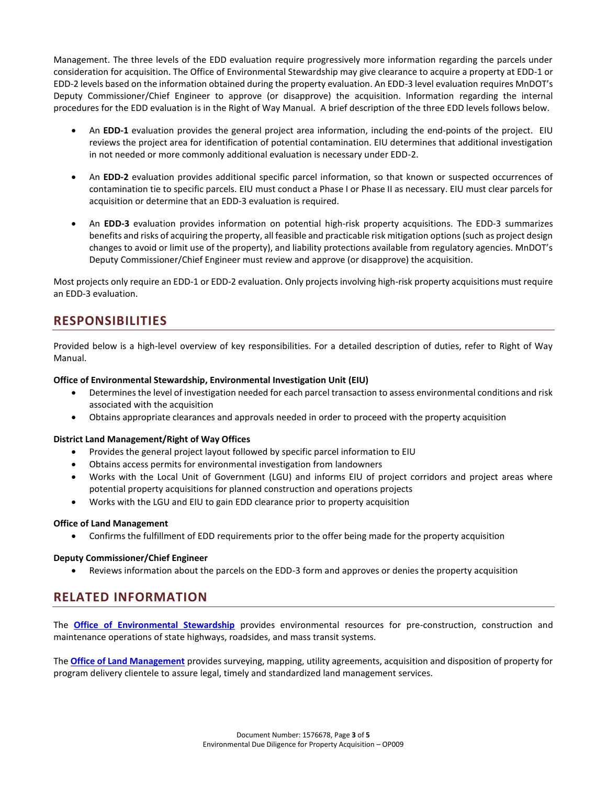Management. The three levels of the EDD evaluation require progressively more information regarding the parcels under consideration for acquisition. The Office of Environmental Stewardship may give clearance to acquire a property at EDD-1 or EDD-2 levels based on the information obtained during the property evaluation. An EDD-3 level evaluation requires MnDOT's Deputy Commissioner/Chief Engineer to approve (or disapprove) the acquisition. Information regarding the internal procedures for the EDD evaluation is in the Right of Way Manual. A brief description of the three EDD levels follows below.

- An **EDD-1** evaluation provides the general project area information, including the end-points of the project. EIU reviews the project area for identification of potential contamination. EIU determines that additional investigation in not needed or more commonly additional evaluation is necessary under EDD-2.
- An **EDD-2** evaluation provides additional specific parcel information, so that known or suspected occurrences of contamination tie to specific parcels. EIU must conduct a Phase I or Phase II as necessary. EIU must clear parcels for acquisition or determine that an EDD-3 evaluation is required.
- An **EDD-3** evaluation provides information on potential high-risk property acquisitions. The EDD-3 summarizes benefits and risks of acquiring the property, all feasible and practicable risk mitigation options (such as project design changes to avoid or limit use of the property), and liability protections available from regulatory agencies. MnDOT's Deputy Commissioner/Chief Engineer must review and approve (or disapprove) the acquisition.

Most projects only require an EDD-1 or EDD-2 evaluation. Only projects involving high-risk property acquisitions must require an EDD-3 evaluation.

# **RESPONSIBILITIES**

Provided below is a high-level overview of key responsibilities. For a detailed description of duties, refer to Right of Way Manual.

### **Office of Environmental Stewardship, Environmental Investigation Unit (EIU)**

- Determines the level of investigation needed for each parcel transaction to assess environmental conditions and risk associated with the acquisition
- Obtains appropriate clearances and approvals needed in order to proceed with the property acquisition

### **District Land Management/Right of Way Offices**

- Provides the general project layout followed by specific parcel information to EIU
- Obtains access permits for environmental investigation from landowners
- Works with the Local Unit of Government (LGU) and informs EIU of project corridors and project areas where potential property acquisitions for planned construction and operations projects
- Works with the LGU and EIU to gain EDD clearance prior to property acquisition

### **Office of Land Management**

Confirms the fulfillment of EDD requirements prior to the offer being made for the property acquisition

### **Deputy Commissioner/Chief Engineer**

Reviews information about the parcels on the EDD-3 form and approves or denies the property acquisition

# **RELATED INFORMATION**

The **[Office of Environmental Stewardship](http://www.dot.state.mn.us/environment/index.html)** provides environmental resources for pre-construction, construction and maintenance operations of state highways, roadsides, and mass transit systems.

The **[Office of Land Management](http://www.dot.state.mn.us/landmanagement/)** provides surveying, mapping, utility agreements, acquisition and disposition of property for program delivery clientele to assure legal, timely and standardized land management services.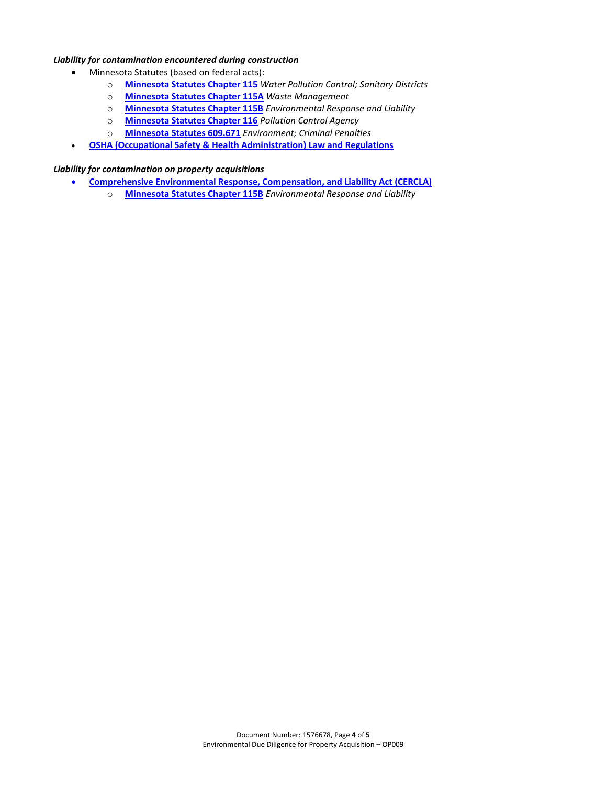### *Liability for contamination encountered during construction*

- Minnesota Statutes (based on federal acts):
	- o **[Minnesota Statutes Chapter 115](https://www.revisor.mn.gov/statutes/?id=115)** *Water Pollution Control; Sanitary Districts*
	- o **[Minnesota Statutes Chapter 115A](https://www.revisor.mn.gov/statutes/?id=115A)** *Waste Management*
	- o **Minnesota [Statutes Chapter 115B](https://www.revisor.mn.gov/statutes/?id=115B)** *Environmental Response and Liability*
	- o **[Minnesota Statutes Chapter 116](https://www.revisor.mn.gov/statutes/?id=116)** *Pollution Control Agency*
	- o **[Minnesota Statutes 609.671](https://www.revisor.mn.gov/statutes/?id=609.671)** *Environment; Criminal Penalties*
- **[OSHA \(Occupational Safety & Health Administration\) Law and Regulations](https://www.osha.gov/law-regs.html)**

### *Liability for contamination on property acquisitions*

- **[Comprehensive Environmental Response, Compensation, and Liability Act \(CERCLA\)](http://www.epa.gov/agriculture/lcla.html)**
	- o **[Minnesota Statutes Chapter 115B](https://www.revisor.mn.gov/statutes/?id=115B)** *Environmental Response and Liability*